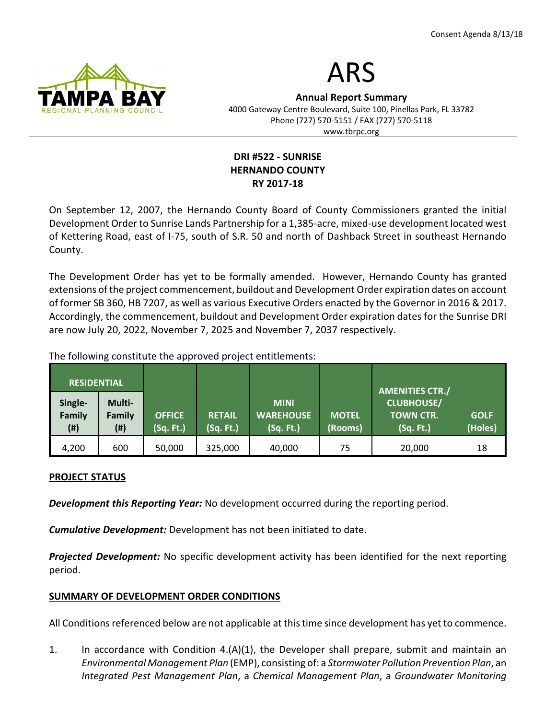

# ARS

Annual Report Summary 4000 Gateway Centre Boulevard, Suite 100, Pinellas Park, FL 33782 Phone (727) 570-5151 / FAX (727) 570-5118 www.tbrpc.org

## DRI #522 - SUNRISE HERNANDO COUNTY RY 2017-18

On September 12, 2007, the Hernando County Board of County Commissioners granted the initial Development Order to Sunrise Lands Partnership for a 1,385-acre, mixed-use development located west of Kettering Road, east of I-75, south of S.R. 50 and north of Dashback Street in southeast Hernando County.

The Development Order has yet to be formally amended. However, Hernando County has granted extensions of the project commencement, buildout and Development Order expiration dates on account of former SB 360, HB 7207, as well as various Executive Orders enacted by the Governor in 2016 & 2017. Accordingly, the commencement, buildout and Development Order expiration dates for the Sunrise DRI are now July 20, 2022, November 7, 2025 and November 7, 2037 respectively.

The following constitute the approved project entitlements:

| <b>RESIDENTIAL</b>       |                               |                            |                            |                                              |                         | <b>AMENITIES CTR./</b>                             |                        |
|--------------------------|-------------------------------|----------------------------|----------------------------|----------------------------------------------|-------------------------|----------------------------------------------------|------------------------|
| Single-<br>Family<br>(#) | Multi-<br>Family<br>$($ # $)$ | <b>OFFICE</b><br>(Sq. Ft.) | <b>RETAIL</b><br>(Sq. Ft.) | <b>MINI</b><br><b>WAREHOUSE</b><br>(Sq. Ft.) | <b>MOTEL</b><br>(Rooms) | <b>CLUBHOUSE/</b><br><b>TOWN CTR.</b><br>(Sq. Ft.) | <b>GOLF</b><br>(Holes) |
| 4,200                    | 600                           | 50,000                     | 325,000                    | 40,000                                       | 75                      | 20,000                                             | 18                     |

## PROJECT STATUS

Development this Reporting Year: No development occurred during the reporting period.

**Cumulative Development:** Development has not been initiated to date.

**Projected Development:** No specific development activity has been identified for the next reporting period.

## SUMMARY OF DEVELOPMENT ORDER CONDITIONS

All Conditions referenced below are not applicable at this time since development has yet to commence.

1. In accordance with Condition 4.(A)(1), the Developer shall prepare, submit and maintain an Environmental Management Plan (EMP), consisting of: a Stormwater Pollution Prevention Plan, an Integrated Pest Management Plan, a Chemical Management Plan, a Groundwater Monitoring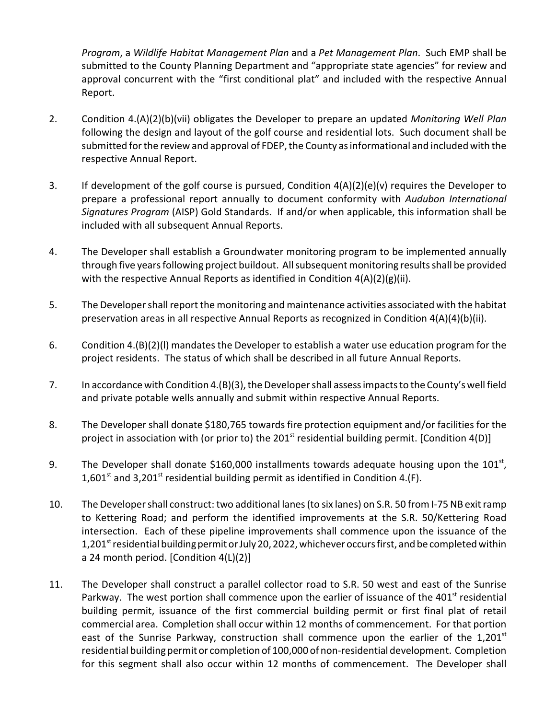Program, a Wildlife Habitat Management Plan and a Pet Management Plan. Such EMP shall be submitted to the County Planning Department and "appropriate state agencies" for review and approval concurrent with the "first conditional plat" and included with the respective Annual Report.

- 2. Condition 4.(A)(2)(b)(vii) obligates the Developer to prepare an updated Monitoring Well Plan following the design and layout of the golf course and residential lots. Such document shall be submitted for the review and approval of FDEP, the County as informational and included with the respective Annual Report.
- 3. If development of the golf course is pursued, Condition 4(A)(2)(e)(v) requires the Developer to prepare a professional report annually to document conformity with Audubon International Signatures Program (AISP) Gold Standards. If and/or when applicable, this information shall be included with all subsequent Annual Reports.
- 4. The Developer shall establish a Groundwater monitoring program to be implemented annually through five years following project buildout. All subsequent monitoring results shall be provided with the respective Annual Reports as identified in Condition 4(A)(2)(g)(ii).
- 5. The Developer shall report the monitoring and maintenance activities associated with the habitat preservation areas in all respective Annual Reports as recognized in Condition 4(A)(4)(b)(ii).
- 6. Condition 4.(B)(2)(l) mandates the Developer to establish a water use education program for the project residents. The status of which shall be described in all future Annual Reports.
- 7. In accordance with Condition 4.(B)(3), the Developer shall assess impacts to the County's well field and private potable wells annually and submit within respective Annual Reports.
- 8. The Developer shall donate \$180,765 towards fire protection equipment and/or facilities for the project in association with (or prior to) the 201<sup>st</sup> residential building permit. [Condition 4(D)]
- 9. The Developer shall donate \$160,000 installments towards adequate housing upon the 101st, 1,601<sup>st</sup> and 3,201<sup>st</sup> residential building permit as identified in Condition 4.(F).
- 10. The Developer shall construct: two additional lanes (to six lanes) on S.R. 50 from I-75 NB exit ramp to Kettering Road; and perform the identified improvements at the S.R. 50/Kettering Road intersection. Each of these pipeline improvements shall commence upon the issuance of the 1,201<sup>st</sup> residential building permit or July 20, 2022, whichever occurs first, and be completed within a 24 month period. [Condition 4(L)(2)]
- 11. The Developer shall construct a parallel collector road to S.R. 50 west and east of the Sunrise Parkway. The west portion shall commence upon the earlier of issuance of the 401<sup>st</sup> residential building permit, issuance of the first commercial building permit or first final plat of retail commercial area. Completion shall occur within 12 months of commencement. For that portion east of the Sunrise Parkway, construction shall commence upon the earlier of the 1,201<sup>st</sup> residential building permit or completion of 100,000 of non-residential development. Completion for this segment shall also occur within 12 months of commencement. The Developer shall